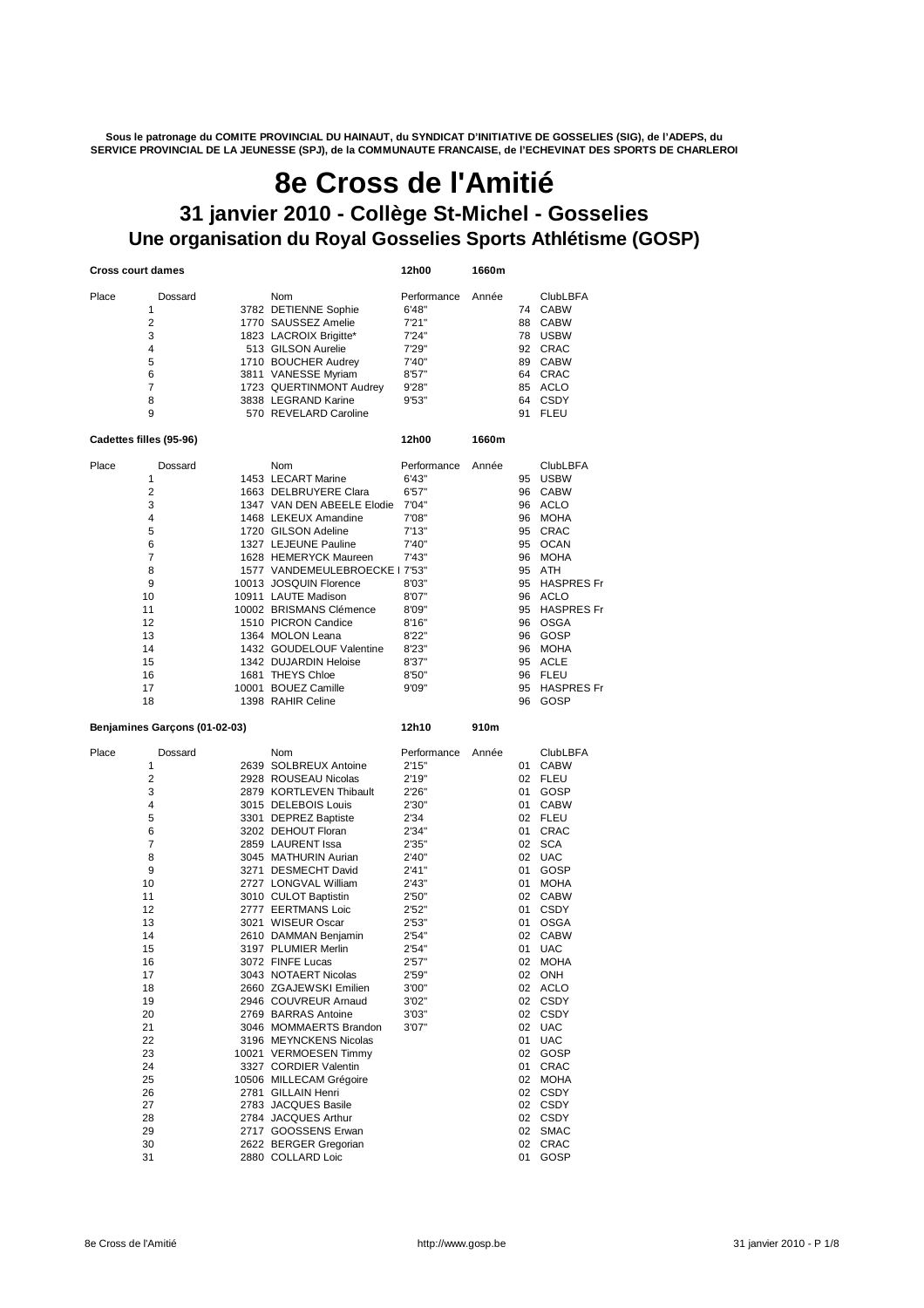**Sous le patronage du COMITE PROVINCIAL DU HAINAUT, du SYNDICAT D'INITIATIVE DE GOSSELIES (SIG), de l'ADEPS, du SERVICE PROVINCIAL DE LA JEUNESSE (SPJ), de la COMMUNAUTE FRANCAISE, de l'ECHEVINAT DES SPORTS DE CHARLEROI**

# **8e Cross de l'Amitié**

# **Une organisation du Royal Gosselies Sports Athlétisme (GOSP) 31 janvier 2010 - Collège St-Michel - Gosselies**

| <b>Cross court dames</b> |                                                                                                                                                                  |  | 12h00                                                                                                                                                                                                                                                                                                                                                                                                                                                                                                                                                                                                                                                                 | 1660m                                                                                                                                                                                                   |       |                                                                                                               |                                                                                                                                                                                                                                                                                                                                                            |
|--------------------------|------------------------------------------------------------------------------------------------------------------------------------------------------------------|--|-----------------------------------------------------------------------------------------------------------------------------------------------------------------------------------------------------------------------------------------------------------------------------------------------------------------------------------------------------------------------------------------------------------------------------------------------------------------------------------------------------------------------------------------------------------------------------------------------------------------------------------------------------------------------|---------------------------------------------------------------------------------------------------------------------------------------------------------------------------------------------------------|-------|---------------------------------------------------------------------------------------------------------------|------------------------------------------------------------------------------------------------------------------------------------------------------------------------------------------------------------------------------------------------------------------------------------------------------------------------------------------------------------|
| Place                    | Dossard<br>1<br>2<br>3<br>4<br>5<br>6<br>7<br>8<br>9                                                                                                             |  | Nom<br>3782 DETIENNE Sophie<br>1770 SAUSSEZ Amelie<br>1823 LACROIX Brigitte*<br>513 GILSON Aurelie<br>1710 BOUCHER Audrey<br>3811 VANESSE Myriam<br>1723 QUERTINMONT Audrey<br>3838 LEGRAND Karine<br>570 REVELARD Caroline                                                                                                                                                                                                                                                                                                                                                                                                                                           | Performance<br>6'48"<br>7'21"<br>7'24"<br>7'29"<br>7'40"<br>8'57"<br>9'28"<br>9'53"                                                                                                                     | Année | 74<br>88<br>78<br>92<br>89<br>64<br>64<br>91                                                                  | <b>ClubLBFA</b><br><b>CABW</b><br><b>CABW</b><br><b>USBW</b><br>CRAC<br><b>CABW</b><br>CRAC<br>85 ACLO<br><b>CSDY</b><br><b>FLEU</b>                                                                                                                                                                                                                       |
|                          | Cadettes filles (95-96)                                                                                                                                          |  |                                                                                                                                                                                                                                                                                                                                                                                                                                                                                                                                                                                                                                                                       | 12h00                                                                                                                                                                                                   | 1660m |                                                                                                               |                                                                                                                                                                                                                                                                                                                                                            |
| Place                    | Dossard<br>1<br>2<br>3<br>4<br>5<br>6<br>7<br>8<br>9<br>10<br>11<br>12<br>13<br>14<br>15<br>16<br>17<br>18                                                       |  | <b>Nom</b><br>1453 LECART Marine<br>1663 DELBRUYERE Clara<br>1347 VAN DEN ABEELE Elodie<br>1468 LEKEUX Amandine<br>1720 GILSON Adeline<br>1327 LEJEUNE Pauline<br>1628 HEMERYCK Maureen<br>1577 VANDEMEULEBROECKE   7'53"<br>10013 JOSQUIN Florence<br>10911 LAUTE Madison<br>10002 BRISMANS Clémence<br>1510 PICRON Candice<br>1364 MOLON Leana<br>1432 GOUDELOUF Valentine<br>1342 DUJARDIN Heloise<br>1681 THEYS Chloe<br>10001 BOUEZ Camille<br>1398 RAHIR Celine                                                                                                                                                                                                 | Performance<br>6'43"<br>6'57"<br>7'04"<br>7'08"<br>7'13"<br>7'40"<br>7'43"<br>8'03"<br>8'07"<br>8'09"<br>8'16"<br>8'22"<br>8'23"<br>8'37"<br>8'50"<br>9'09"                                             | Année | 95<br>96<br>96<br>95<br>95<br>96<br>95<br>95<br>96<br>95<br>96<br>96<br>96<br>95<br>96<br>95<br>96            | <b>ClubLBFA</b><br><b>USBW</b><br><b>CABW</b><br>96 ACLO<br><b>MOHA</b><br>CRAC<br><b>OCAN</b><br><b>MOHA</b><br>ATH<br><b>HASPRES Fr</b><br><b>ACLO</b><br><b>HASPRES Fr</b><br><b>OSGA</b><br>GOSP<br><b>MOHA</b><br>ACLE<br><b>FLEU</b><br><b>HASPRES Fr</b><br>GOSP                                                                                    |
|                          | Benjamines Garçons (01-02-03)                                                                                                                                    |  |                                                                                                                                                                                                                                                                                                                                                                                                                                                                                                                                                                                                                                                                       | 12h10                                                                                                                                                                                                   | 910m  |                                                                                                               |                                                                                                                                                                                                                                                                                                                                                            |
| Place<br>28<br>29        | Dossard<br>1<br>2<br>3<br>4<br>5<br>6<br>7<br>8<br>9<br>10<br>11<br>12<br>13<br>14<br>15<br>16<br>17<br>18<br>19<br>20<br>21<br>22<br>23<br>24<br>25<br>26<br>27 |  | Nom<br>2639 SOLBREUX Antoine<br>2928 ROUSEAU Nicolas<br>2879 KORTLEVEN Thibault<br>3015 DELEBOIS Louis<br>3301 DEPREZ Baptiste<br>3202 DEHOUT Floran<br>2859 LAURENT Issa<br>3045 MATHURIN Aurian<br>3271 DESMECHT David<br>2727 LONGVAL William<br>3010 CULOT Baptistin<br>2777 EERTMANS Loic<br>3021 WISEUR Oscar<br>2610 DAMMAN Benjamin<br>3197 PLUMIER Merlin<br>3072 FINFE Lucas<br>3043 NOTAERT Nicolas<br>2660 ZGAJEWSKI Emilien<br>2946 COUVREUR Arnaud<br>2769 BARRAS Antoine<br>3046 MOMMAERTS Brandon<br>3196 MEYNCKENS Nicolas<br>10021 VERMOESEN Timmy<br>3327 CORDIER Valentin<br>10506 MILLECAM Grégoire<br>2781 GILLAIN Henri<br>2783 JACQUES Basile | Performance<br>2'15"<br>2'19"<br>2'26"<br>2'30"<br>2'34<br>2'34"<br>2'35"<br>2'40"<br>2'41"<br>2'43"<br>2'50"<br>2'52"<br>2'53"<br>2'54"<br>2'54"<br>2'57"<br>2'59"<br>3'00"<br>3'02"<br>3'03"<br>3'07" | Année | 01<br>01<br>01<br>01<br>02<br>02<br>01<br>01<br>02<br>01<br>01<br>02<br>01<br>02<br>01<br>01<br>02<br>02 CSDY | <b>ClubLBFA</b><br><b>CABW</b><br>02 FLEU<br>GOSP<br><b>CABW</b><br>02 FLEU<br>CRAC<br><b>SCA</b><br><b>UAC</b><br>GOSP<br><b>MOHA</b><br><b>CABW</b><br><b>CSDY</b><br><b>OSGA</b><br><b>CABW</b><br><b>UAC</b><br><b>MOHA</b><br>02 ONH<br>02 ACLO<br>02 CSDY<br>02 CSDY<br>02 UAC<br><b>UAC</b><br>02 GOSP<br>CRAC<br><b>MOHA</b><br>02 CSDY<br>02 CSDY |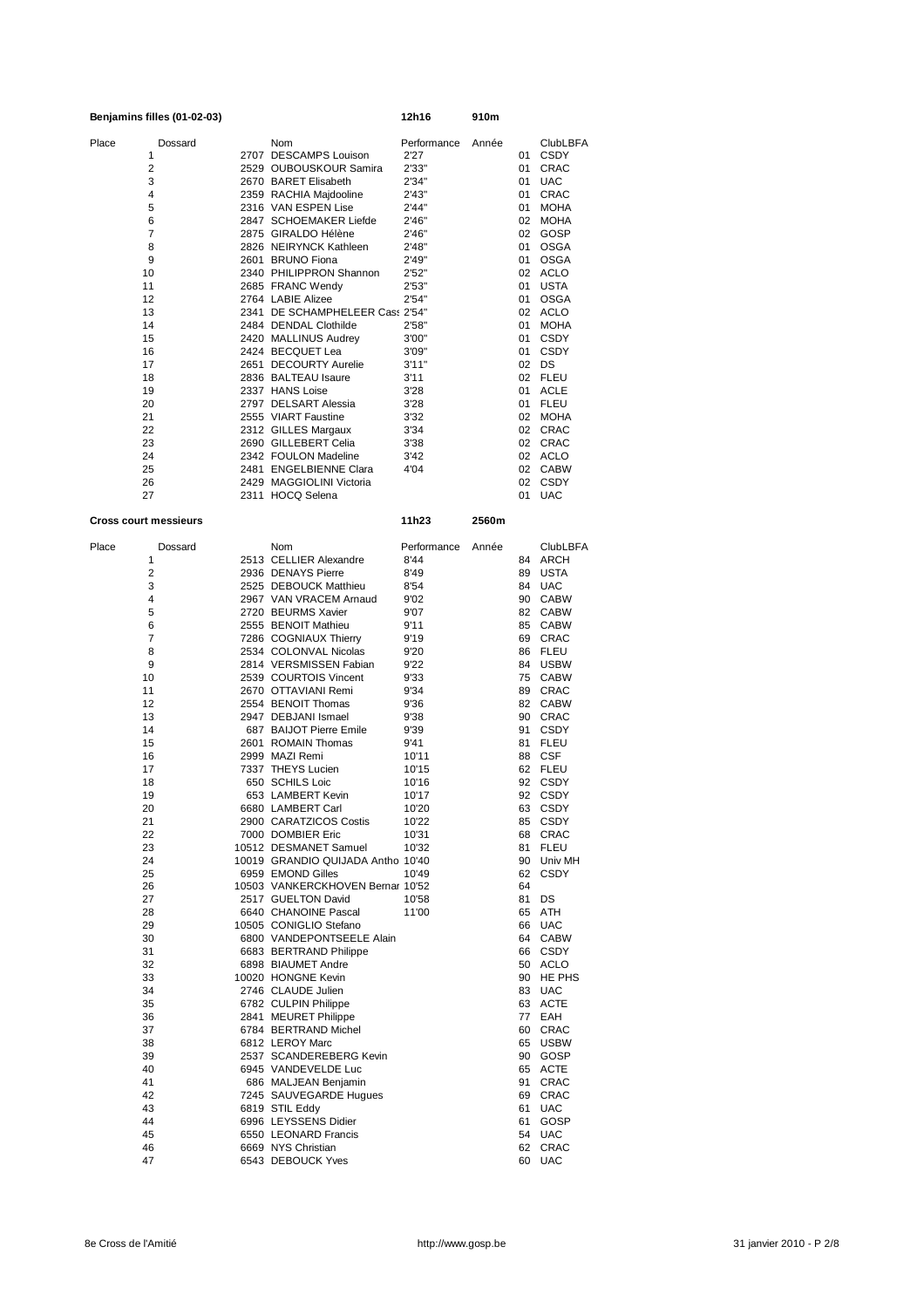| Benjamins filles (01-02-03)  |         |  | 12h16                                                      | 910m           |       |             |                        |
|------------------------------|---------|--|------------------------------------------------------------|----------------|-------|-------------|------------------------|
| Place                        | Dossard |  | Nom                                                        | Performance    | Année |             | <b>ClubLBFA</b>        |
| 1                            |         |  | 2707 DESCAMPS Louison                                      | 2'27           |       | 01          | CSDY                   |
| 2                            |         |  | 2529 OUBOUSKOUR Samira                                     | 2'33"          |       | 01          | <b>CRAC</b>            |
| 3                            |         |  | 2670 BARET Elisabeth                                       | 2'34"          |       | 01          | <b>UAC</b>             |
| 4<br>5                       |         |  | 2359 RACHIA Majdooline<br>2316 VAN ESPEN Lise              | 2'43"<br>2'44" |       | 01<br>01    | <b>CRAC</b><br>MOHA    |
| 6                            |         |  | 2847 SCHOEMAKER Liefde                                     | 2'46"          |       | 02          | <b>MOHA</b>            |
| 7                            |         |  | 2875 GIRALDO Hélène                                        | 2'46"          |       |             | 02 GOSP                |
| 8                            |         |  | 2826 NEIRYNCK Kathleen                                     | 2'48"          |       | 01          | <b>OSGA</b>            |
| 9                            |         |  | 2601 BRUNO Fiona                                           | 2'49"          |       | 01          | <b>OSGA</b>            |
| 10<br>11                     |         |  | 2340 PHILIPPRON Shannon<br>2685 FRANC Wendy                | 2'52"<br>2'53" |       | 01          | 02 ACLO<br><b>USTA</b> |
| 12                           |         |  | 2764 LABIE Alizee                                          | 2'54"          |       | 01          | <b>OSGA</b>            |
| 13                           |         |  | 2341 DE SCHAMPHELEER Cass 2'54"                            |                |       |             | 02 ACLO                |
| 14                           |         |  | 2484 DENDAL Clothilde                                      | 2'58"          |       | 01          | MOHA                   |
| 15                           |         |  | 2420 MALLINUS Audrey                                       | 3'00"          |       | 01          | <b>CSDY</b>            |
| 16<br>17                     |         |  | 2424 BECQUET Lea<br>2651 DECOURTY Aurelie                  | 3'09"<br>3'11" |       | 01<br>02 DS | CSDY                   |
| 18                           |         |  | 2836 BALTEAU Isaure                                        | 3'11           |       |             | 02 FLEU                |
| 19                           |         |  | 2337 HANS Loise                                            | 3'28           |       | 01          | ACLE                   |
| 20                           |         |  | 2797 DELSART Alessia                                       | 3'28           |       |             | 01 FLEU                |
| 21<br>22                     |         |  | 2555 VIART Faustine<br>2312 GILLES Margaux                 | 3'32<br>3'34   |       |             | 02 MOHA<br>02 CRAC     |
| 23                           |         |  | 2690 GILLEBERT Celia                                       | 3'38           |       |             | 02 CRAC                |
| 24                           |         |  | 2342 FOULON Madeline                                       | 3'42           |       |             | 02 ACLO                |
| 25                           |         |  | 2481 ENGELBIENNE Clara                                     | 4'04           |       |             | 02 CABW                |
| 26                           |         |  | 2429 MAGGIOLINI Victoria                                   |                |       |             | 02 CSDY                |
| 27                           |         |  | 2311 HOCQ Selena                                           |                |       |             | 01 UAC                 |
| <b>Cross court messieurs</b> |         |  |                                                            | 11h23          | 2560m |             |                        |
|                              |         |  |                                                            |                |       |             |                        |
| Place                        | Dossard |  | Nom                                                        | Performance    | Année |             | <b>ClubLBFA</b>        |
| 1<br>$\overline{2}$          |         |  | 2513 CELLIER Alexandre<br>2936 DENAYS Pierre               | 8'44           |       | 89          | 84 ARCH<br><b>USTA</b> |
| 3                            |         |  | 2525 DEBOUCK Matthieu                                      | 8'49<br>8'54   |       |             | 84 UAC                 |
| 4                            |         |  | 2967 VAN VRACEM Arnaud                                     | 9'02           |       | 90          | <b>CABW</b>            |
| 5                            |         |  | 2720 BEURMS Xavier                                         | 9'07           |       |             | 82 CABW                |
| 6                            |         |  | 2555 BENOIT Mathieu                                        | 9'11           |       |             | 85 CABW                |
| $\overline{7}$<br>8          |         |  | 7286 COGNIAUX Thierry<br>2534 COLONVAL Nicolas             | 9'19<br>9'20   |       | 69          | CRAC<br>86 FLEU        |
| 9                            |         |  | 2814 VERSMISSEN Fabian                                     | 9'22           |       | 84          | <b>USBW</b>            |
| 10                           |         |  | 2539 COURTOIS Vincent                                      | 9'33           |       |             | 75 CABW                |
| 11                           |         |  | 2670 OTTAVIANI Remi                                        | 9'34           |       |             | 89 CRAC                |
| 12<br>13                     |         |  | 2554 BENOIT Thomas<br>2947 DEBJANI Ismael                  | 9'36<br>9'38   |       |             | 82 CABW<br>90 CRAC     |
| 14                           |         |  | 687 BAIJOT Pierre Emile                                    | 9'39           |       | 91          | <b>CSDY</b>            |
| 15                           |         |  | 2601 ROMAIN Thomas                                         | 9'41           |       |             | 81 FLEU                |
| 16                           |         |  | 2999 MAZI Remi                                             | 10'11          |       |             | 88 CSF                 |
| 17                           |         |  | 7337 THEYS Lucien                                          | 10'15          |       |             | 62 FLEU                |
| 18<br>19                     |         |  | 650 SCHILS Loic<br>653 LAMBERT Kevin                       | 10'16<br>10'17 |       |             | 92 CSDY<br>92 CSDY     |
| 20                           |         |  | 6680 LAMBERT Carl                                          | 10'20          |       |             | 63 CSDY                |
| 21                           |         |  | 2900 CARATZICOS Costis                                     | 10'22          |       |             | 85 CSDY                |
| 22                           |         |  | 7000 DOMBIER Eric                                          | 10'31          |       |             | 68 CRAC                |
| 23<br>24                     |         |  | 10512 DESMANET Samuel<br>10019 GRANDIO QUIJADA Antho 10'40 | 10'32          |       |             | 81 FLEU<br>90 Univ MH  |
| 25                           |         |  | 6959 EMOND Gilles                                          | 10'49          |       | 62          | <b>CSDY</b>            |
| 26                           |         |  | 10503 VANKERCKHOVEN Bernar 10'52                           |                |       | 64          |                        |
| 27                           |         |  | 2517 GUELTON David                                         | 10'58          |       | 81 DS       |                        |
| 28<br>29                     |         |  | 6640 CHANOINE Pascal<br>10505 CONIGLIO Stefano             | 11'00          |       |             | 65 ATH<br>66 UAC       |
| 30                           |         |  | 6800 VANDEPONTSEELE Alain                                  |                |       |             | 64 CABW                |
| 31                           |         |  | 6683 BERTRAND Philippe                                     |                |       |             | 66 CSDY                |
| 32                           |         |  | 6898 BIAUMET Andre                                         |                |       |             | 50 ACLO                |
| 33                           |         |  | 10020 HONGNE Kevin                                         |                |       |             | 90 HE PHS              |
| 34<br>35                     |         |  | 2746 CLAUDE Julien<br>6782 CULPIN Philippe                 |                |       |             | 83 UAC<br>63 ACTE      |
| 36                           |         |  | 2841 MEURET Philippe                                       |                |       |             | 77 EAH                 |
| 37                           |         |  | 6784 BERTRAND Michel                                       |                |       |             | 60 CRAC                |
| 38                           |         |  | 6812 LEROY Marc                                            |                |       |             | 65 USBW                |
| 39                           |         |  | 2537 SCANDEREBERG Kevin                                    |                |       |             | 90 GOSP                |
| 40<br>41                     |         |  | 6945 VANDEVELDE Luc<br>686 MALJEAN Benjamin                |                |       |             | 65 ACTE<br>91 CRAC     |
| 42                           |         |  | 7245 SAUVEGARDE Hugues                                     |                |       |             | 69 CRAC                |
| 43                           |         |  | 6819 STIL Eddy                                             |                |       | 61          | <b>UAC</b>             |
| 44                           |         |  | 6996 LEYSSENS Didier                                       |                |       | 61          | GOSP                   |
| 45<br>46                     |         |  | 6550 LEONARD Francis<br>6669 NYS Christian                 |                |       |             | 54 UAC<br>62 CRAC      |
|                              |         |  | 6543 DEBOUCK Yves                                          |                |       |             | 60 UAC                 |
| 47                           |         |  |                                                            |                |       |             |                        |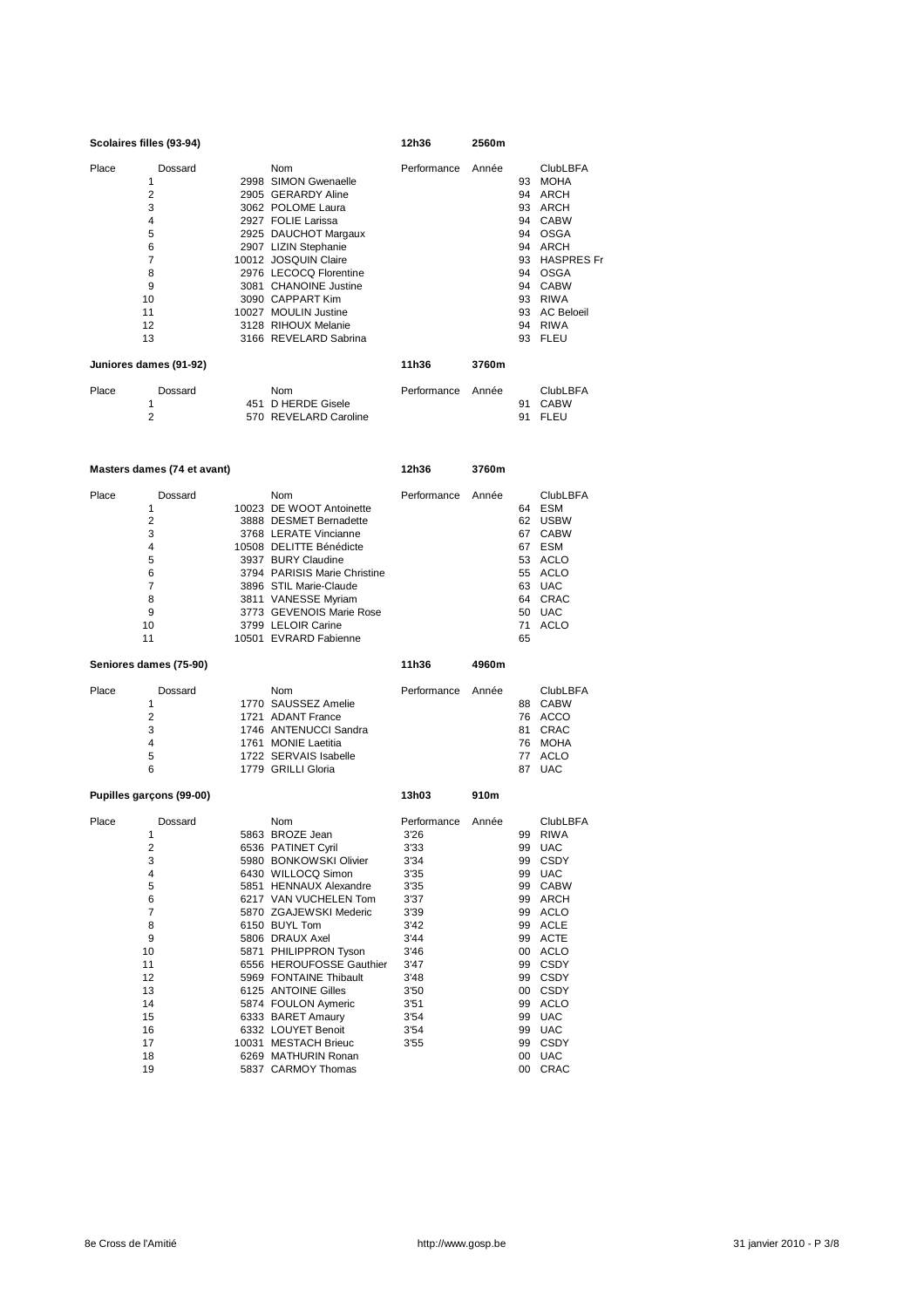| Scolaires filles (93-94) |                                |  |                                                    | 2560m       |       |          |                                               |
|--------------------------|--------------------------------|--|----------------------------------------------------|-------------|-------|----------|-----------------------------------------------|
| Place                    | Dossard                        |  | Nom                                                | Performance | Année |          | <b>ClubLBFA</b>                               |
|                          | 1                              |  | 2998 SIMON Gwenaelle                               |             |       | 93       | <b>MOHA</b>                                   |
|                          | $\overline{2}$                 |  | 2905 GERARDY Aline                                 |             |       | 94       | ARCH                                          |
|                          | 3                              |  | 3062 POLOME Laura                                  |             |       | 93       | <b>ARCH</b>                                   |
|                          | 4                              |  | 2927 FOLIE Larissa                                 |             |       | 94       | <b>CABW</b>                                   |
|                          | 5                              |  | 2925 DAUCHOT Margaux                               |             |       | 94       | <b>OSGA</b>                                   |
|                          | 6                              |  | 2907 LIZIN Stephanie                               |             |       | 94       | ARCH                                          |
|                          | 7                              |  | 10012 JOSQUIN Claire                               |             |       | 93       | <b>HASPRES Fr</b>                             |
|                          | 8                              |  | 2976 LECOCQ Florentine                             |             |       |          | 94 OSGA                                       |
|                          | 9                              |  | 3081 CHANOINE Justine                              |             |       | 94       | <b>CABW</b>                                   |
|                          | 10                             |  | 3090 CAPPART Kim                                   |             |       | 93       | <b>RIWA</b>                                   |
|                          | 11                             |  | 10027 MOULIN Justine                               |             |       | 93       | <b>AC Beloeil</b>                             |
|                          | 12                             |  | 3128 RIHOUX Melanie                                |             |       | 94       | <b>RIWA</b>                                   |
|                          | 13                             |  | 3166 REVELARD Sabrina                              |             |       | 93       | <b>FLEU</b>                                   |
|                          | Juniores dames (91-92)         |  |                                                    | 11h36       | 3760m |          |                                               |
| Place                    | Dossard<br>1<br>$\overline{2}$ |  | Nom<br>451 D HERDE Gisele<br>570 REVELARD Caroline | Performance | Année | 91<br>91 | <b>ClubLBFA</b><br><b>CABW</b><br><b>FLEU</b> |
|                          |                                |  |                                                    |             |       |          |                                               |

|                                                                                          | Masters dames (74 et avant) |                                                                                                                                                                                                                                                                                                  |             | 3760m |                                                                |                                                                                                                                                                   |
|------------------------------------------------------------------------------------------|-----------------------------|--------------------------------------------------------------------------------------------------------------------------------------------------------------------------------------------------------------------------------------------------------------------------------------------------|-------------|-------|----------------------------------------------------------------|-------------------------------------------------------------------------------------------------------------------------------------------------------------------|
| Place<br>1<br>$\overline{2}$<br>3<br>4<br>5<br>6<br>$\overline{7}$<br>8<br>9<br>10<br>11 | Dossard<br>10023            | <b>Nom</b><br>DE WOOT Antoinette<br>3888 DESMET Bernadette<br>3768 LERATE Vincianne<br>10508 DELITTE Bénédicte<br>3937 BURY Claudine<br>3794 PARISIS Marie Christine<br>3896 STIL Marie-Claude<br>3811 VANESSE Myriam<br>3773 GEVENOIS Marie Rose<br>3799 LELOIR Carine<br>10501 EVRARD Fabienne | Performance | Année | 64<br>62<br>67<br>67<br>53<br>55<br>63<br>64<br>50<br>71<br>65 | <b>ClubLBFA</b><br><b>ESM</b><br><b>USBW</b><br><b>CABW</b><br><b>ESM</b><br><b>ACLO</b><br><b>ACLO</b><br><b>UAC</b><br><b>CRAC</b><br><b>UAC</b><br><b>ACLO</b> |
| Seniores dames (75-90)                                                                   |                             |                                                                                                                                                                                                                                                                                                  | 11h36       | 4960m |                                                                |                                                                                                                                                                   |
| Place<br>1<br>$\overline{c}$<br>3<br>4<br>5<br>6                                         | Dossard<br>1770             | <b>Nom</b><br><b>SAUSSEZ Amelie</b><br>1721 ADANT France<br>1746 ANTENUCCI Sandra<br>1761 MONIE Laetitia<br>1722 SERVAIS Isabelle<br>1779 GRILLI Gloria                                                                                                                                          | Performance | Année | 88<br>76<br>81<br>76<br>77<br>87                               | <b>ClubLBFA</b><br><b>CABW</b><br><b>ACCO</b><br>CRAC<br><b>MOHA</b><br><b>ACLO</b><br><b>UAC</b>                                                                 |
| Pupilles garçons (99-00)                                                                 |                             |                                                                                                                                                                                                                                                                                                  | 13h03       | 910m  |                                                                |                                                                                                                                                                   |
| Place                                                                                    | Dossard                     | Nom                                                                                                                                                                                                                                                                                              | Performance | Année |                                                                | <b>ClubLBFA</b>                                                                                                                                                   |

|    | 5863 BROZE Jean          | 3'26 | 99 | <b>RIWA</b> |
|----|--------------------------|------|----|-------------|
| 2  | 6536 PATINET Cyril       | 3'33 | 99 | <b>UAC</b>  |
| 3  | 5980 BONKOWSKI Olivier   | 3'34 | 99 | <b>CSDY</b> |
| 4  | 6430 WILLOCQ Simon       | 3'35 | 99 | <b>UAC</b>  |
| 5  | 5851 HENNAUX Alexandre   | 3'35 | 99 | <b>CABW</b> |
| 6  | 6217 VAN VUCHELEN Tom    | 3'37 | 99 | ARCH        |
| 7  | 5870 ZGAJEWSKI Mederic   | 3'39 | 99 | <b>ACLO</b> |
| 8  | 6150 BUYL Tom            | 3'42 | 99 | <b>ACLE</b> |
| 9  | 5806 DRAUX Axel          | 3'44 | 99 | <b>ACTE</b> |
| 10 | 5871 PHILIPPRON Tyson    | 3'46 | 00 | <b>ACLO</b> |
| 11 | 6556 HEROUFOSSE Gauthier | 3'47 | 99 | <b>CSDY</b> |
| 12 | 5969 FONTAINE Thibault   | 3'48 | 99 | <b>CSDY</b> |
| 13 | 6125 ANTOINE Gilles      | 3'50 | 00 | <b>CSDY</b> |
| 14 | 5874 FOULON Aymeric      | 3'51 | 99 | <b>ACLO</b> |
| 15 | 6333 BARET Amaury        | 3'54 | 99 | <b>UAC</b>  |
| 16 | 6332 LOUYET Benoit       | 3'54 | 99 | <b>UAC</b>  |
| 17 | 10031 MESTACH Brieuc     | 3'55 | 99 | <b>CSDY</b> |
| 18 | 6269 MATHURIN Ronan      |      | 00 | <b>UAC</b>  |
| 19 | 5837 CARMOY Thomas       |      | 00 | <b>CRAC</b> |
|    |                          |      |    |             |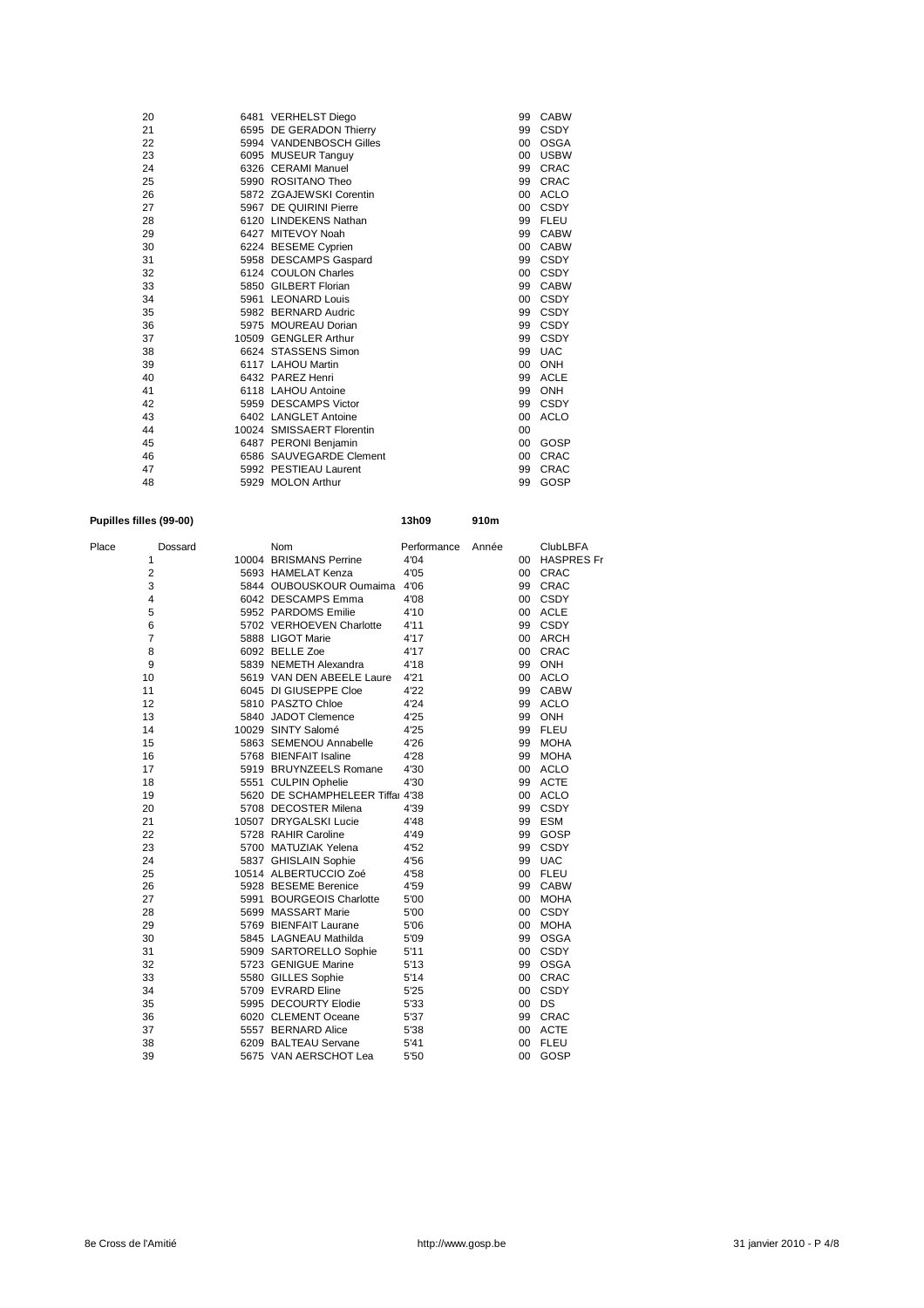| 20 | 6481 VERHELST Diego       | 99              | <b>CABW</b> |
|----|---------------------------|-----------------|-------------|
| 21 | 6595 DE GERADON Thierry   | 99              | <b>CSDY</b> |
| 22 | 5994 VANDENBOSCH Gilles   | 00              | <b>OSGA</b> |
| 23 | 6095 MUSEUR Tanguy        | 00              | <b>USBW</b> |
| 24 | 6326 CERAMI Manuel        | 99              | <b>CRAC</b> |
| 25 | 5990 ROSITANO Theo        | 99              | <b>CRAC</b> |
| 26 | 5872 ZGAJEWSKI Corentin   | 00 <sup>1</sup> | <b>ACLO</b> |
| 27 | 5967 DE QUIRINI Pierre    | 00 <sup>1</sup> | <b>CSDY</b> |
| 28 | 6120 LINDEKENS Nathan     | 99              | <b>FLEU</b> |
| 29 | 6427 MITEVOY Noah         | 99              | <b>CABW</b> |
| 30 | 6224 BESEME Cyprien       | 00 <sup>1</sup> | <b>CABW</b> |
| 31 | 5958 DESCAMPS Gaspard     | 99              | <b>CSDY</b> |
| 32 | 6124 COULON Charles       | 00              | <b>CSDY</b> |
| 33 | 5850 GILBERT Florian      | 99              | <b>CABW</b> |
| 34 | 5961 LEONARD Louis        | 00 <sup>1</sup> | <b>CSDY</b> |
| 35 | 5982 BERNARD Audric       | 99              | <b>CSDY</b> |
| 36 | 5975 MOUREAU Dorian       | 99              | <b>CSDY</b> |
| 37 | 10509 GENGLER Arthur      | 99              | <b>CSDY</b> |
| 38 | 6624 STASSENS Simon       | 99              | <b>UAC</b>  |
| 39 | 6117 LAHOU Martin         | 00 <sup>1</sup> | ONH         |
| 40 | 6432 PAREZ Henri          | 99              | <b>ACLE</b> |
| 41 | 6118 LAHOU Antoine        | 99              | <b>ONH</b>  |
| 42 | 5959 DESCAMPS Victor      | 99              | <b>CSDY</b> |
| 43 | 6402 LANGLET Antoine      | 00              | <b>ACLO</b> |
| 44 | 10024 SMISSAERT Florentin | 00              |             |
| 45 | 6487 PERONI Benjamin      | 00 <sup>1</sup> | GOSP        |
| 46 | 6586 SAUVEGARDE Clement   | 00              | <b>CRAC</b> |
| 47 | 5992 PESTIEAU Laurent     | 99              | <b>CRAC</b> |
| 48 | 5929 MOLON Arthur         | 99              | GOSP        |

## **Pupilles filles (99-00) 13h09 910m**

| Place | Dossard                 | Nom                              | Performance | Année |        | <b>ClubLBFA</b>   |
|-------|-------------------------|----------------------------------|-------------|-------|--------|-------------------|
|       | 1                       | 10004 BRISMANS Perrine           | 4'04        |       | $00 -$ | <b>HASPRES Fr</b> |
|       | $\overline{2}$          | 5693 HAMELAT Kenza               | 4'05        |       | 00     | <b>CRAC</b>       |
|       | 3                       | 5844 OUBOUSKOUR Oumaima 4'06     |             |       | 99     | CRAC              |
|       | $\overline{\mathbf{4}}$ | 6042 DESCAMPS Emma               | 4'08        |       | 00     | CSDY              |
|       | 5                       | 5952 PARDOMS Emilie              | 4'10        |       |        | 00 ACLE           |
|       | 6                       | 5702 VERHOEVEN Charlotte         | 4'11        |       |        | 99 CSDY           |
|       | $\overline{7}$          | 5888 LIGOT Marie                 | 4'17        |       |        | 00 ARCH           |
|       | 8                       | 6092 BELLE Zoe                   | 4'17        |       | 00     | CRAC              |
|       | 9                       | 5839 NEMETH Alexandra            | 4'18        |       | 99     | ONH               |
|       | 10                      | 5619 VAN DEN ABEELE Laure        | 4'21        |       |        | 00 ACLO           |
|       | 11                      | 6045 DI GIUSEPPE Cloe            | 4'22        |       |        | 99 CABW           |
|       | 12                      | 5810 PASZTO Chloe                | 4'24        |       |        | 99 ACLO           |
|       | 13                      | 5840 JADOT Clemence              | 4'25        |       |        | 99 ONH            |
|       | 14                      | 10029 SINTY Salomé               | 4'25        |       | 99     | <b>FLEU</b>       |
|       | 15                      | 5863 SEMENOU Annabelle           | 4'26        |       | 99     | <b>MOHA</b>       |
|       | 16                      | 5768 BIENFAIT Isaline            | 4'28        |       | 99     | <b>MOHA</b>       |
|       | 17                      | 5919 BRUYNZEELS Romane           | 4'30        |       | 00     | <b>ACLO</b>       |
|       | 18                      | 5551 CULPIN Ophelie              | 4'30        |       | 99     | <b>ACTE</b>       |
|       | 19                      | 5620 DE SCHAMPHELEER Tiffal 4'38 |             |       |        | 00 ACLO           |
|       | 20                      | 5708 DECOSTER Milena             | 4'39        |       |        | 99 CSDY           |
|       | 21                      | 10507 DRYGALSKI Lucie            | 4'48        |       |        | 99 ESM            |
|       | 22                      | 5728 RAHIR Caroline              | 4'49        |       | 99     | GOSP              |
|       | 23                      | 5700 MATUZIAK Yelena             | 4'52        |       | 99     | <b>CSDY</b>       |
|       | 24                      | 5837 GHISLAIN Sophie             | 4'56        |       | 99     | <b>UAC</b>        |
|       | 25                      | 10514 ALBERTUCCIO Zoé            | 4'58        |       | 00     | <b>FLEU</b>       |
|       | 26                      | 5928 BESEME Berenice             | 4'59        |       |        | 99 CABW           |
|       | 27                      | 5991 BOURGEOIS Charlotte         | 5'00        |       |        | 00 MOHA           |
|       | 28                      | 5699 MASSART Marie               | 5'00        |       |        | 00 CSDY           |
|       | 29                      | 5769 BIENFAIT Laurane            | 5'06        |       | 00     | <b>MOHA</b>       |
|       | 30                      | 5845 LAGNEAU Mathilda            | 5'09        |       | 99     | <b>OSGA</b>       |
|       | 31                      | 5909 SARTORELLO Sophie           | 5'11        |       | 00     | <b>CSDY</b>       |
|       | 32                      | 5723 GENIGUE Marine              | 5'13        |       | 99     | <b>OSGA</b>       |
|       | 33                      | 5580 GILLES Sophie               | 5'14        |       |        | 00 CRAC           |
|       | 34                      | 5709 EVRARD Eline                | 5'25        |       |        | 00 CSDY           |
|       | 35                      | 5995 DECOURTY Elodie             | 5'33        |       |        | 00 DS             |
|       | 36                      | 6020 CLEMENT Oceane              | 5'37        |       | 99     | CRAC              |
|       | 37                      | 5557 BERNARD Alice               | 5'38        |       | 00     | ACTE              |
|       | 38                      | 6209 BALTEAU Servane             | 5'41        |       | 00     | <b>FLEU</b>       |
|       | 39                      | 5675 VAN AERSCHOT Lea            | 5'50        |       | 00     | GOSP              |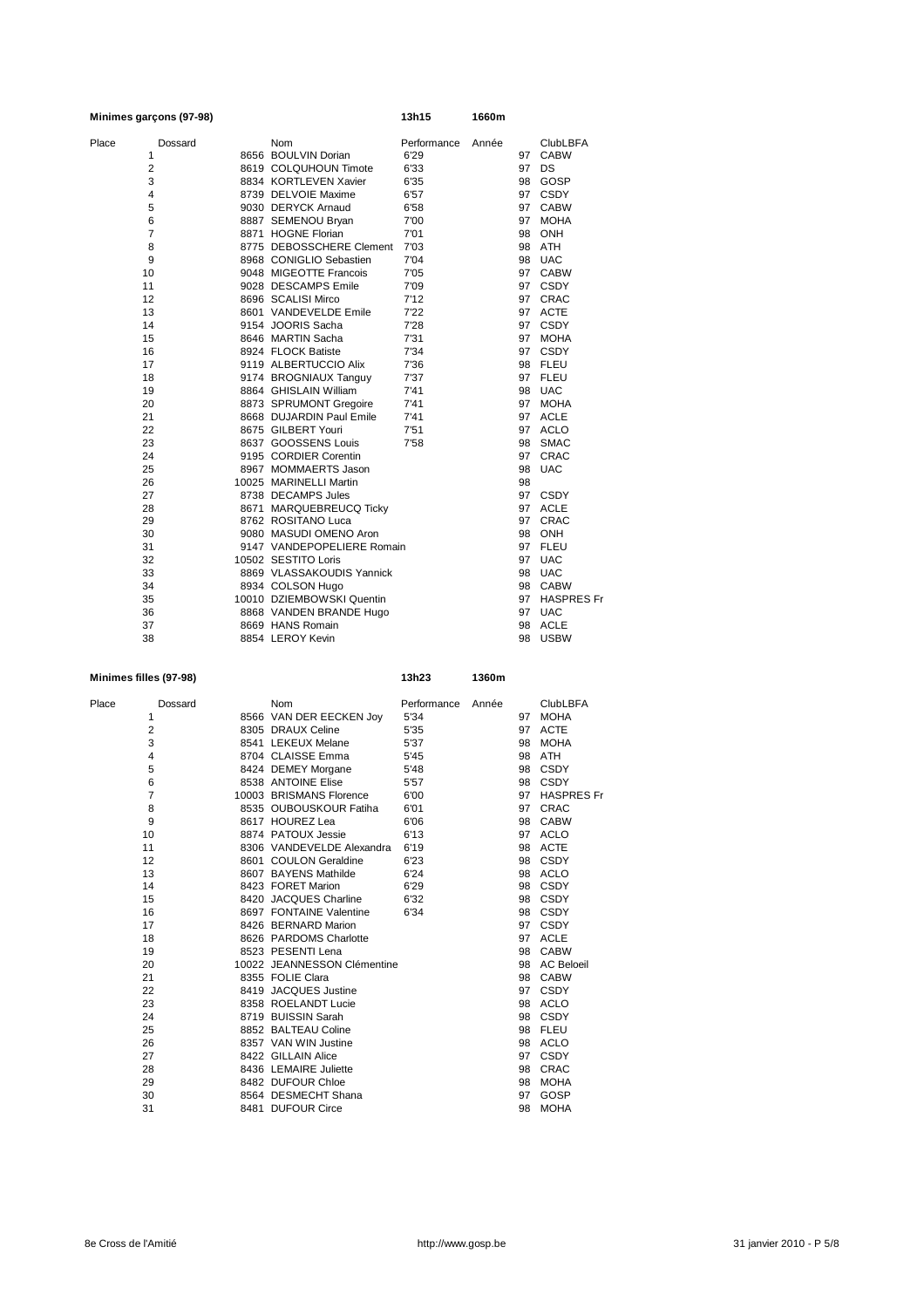| Minimes garçons (97-98) |  |                            | 13h15       | 1660m |    |                 |
|-------------------------|--|----------------------------|-------------|-------|----|-----------------|
| Place<br>Dossard        |  | <b>Nom</b>                 | Performance | Année |    | <b>ClubLBFA</b> |
| 1                       |  | 8656 BOULVIN Dorian        | 6'29        |       |    | 97 CABW         |
| $\overline{2}$          |  | 8619 COLQUHOUN Timote      | 6'33        |       | 97 | <b>DS</b>       |
| 3                       |  | 8834 KORTLEVEN Xavier      | 6'35        |       |    | 98 GOSP         |
| 4                       |  | 8739 DELVOIE Maxime        | 6'57        |       |    | 97 CSDY         |
| 5                       |  | 9030 DERYCK Arnaud         | 6'58        |       |    | 97 CABW         |
| 6                       |  | 8887 SEMENOU Bryan         | 7'00        |       |    | 97 MOHA         |
| $\overline{7}$          |  | 8871 HOGNE Florian         | 7'01        |       |    | 98 ONH          |
| 8                       |  | 8775 DEBOSSCHERE Clement   | 7'03        |       |    | 98 ATH          |
| 9                       |  | 8968 CONIGLIO Sebastien    | 7'04        |       |    | 98 UAC          |
| 10                      |  | 9048 MIGEOTTE Francois     | 7'05        |       |    | 97 CABW         |
| 11                      |  | 9028 DESCAMPS Emile        | 7'09        |       |    | 97 CSDY         |
| 12                      |  | 8696 SCALISI Mirco         | 7'12        |       |    | 97 CRAC         |
| 13                      |  | 8601 VANDEVELDE Emile      | 7'22        |       |    | 97 ACTE         |
| 14                      |  | 9154 JOORIS Sacha          | 7'28        |       |    | 97 CSDY         |
| 15                      |  | 8646 MARTIN Sacha          | 7'31        |       | 97 | <b>MOHA</b>     |
| 16                      |  | 8924 FLOCK Batiste         | 7'34        |       |    | 97 CSDY         |
| 17                      |  | 9119 ALBERTUCCIO Alix      | 7'36        |       |    | 98 FLEU         |
| 18                      |  | 9174 BROGNIAUX Tanguy      | 7'37        |       |    | 97 FLEU         |
| 19                      |  | 8864 GHISLAIN William      | 7'41        |       |    | 98 UAC          |
| 20                      |  | 8873 SPRUMONT Gregoire     | 7'41        |       |    | 97 MOHA         |
| 21                      |  | 8668 DUJARDIN Paul Emile   | 7'41        |       |    | 97 ACLE         |
| 22                      |  | 8675 GILBERT Youri         | 7'51        |       |    | 97 ACLO         |
| 23                      |  | 8637 GOOSSENS Louis        | 7'58        |       |    | 98 SMAC         |
| 24                      |  | 9195 CORDIER Corentin      |             |       | 97 | CRAC            |
| 25                      |  | 8967 MOMMAERTS Jason       |             |       | 98 | <b>UAC</b>      |
| 26                      |  | 10025 MARINELLI Martin     |             |       | 98 |                 |
| 27                      |  | 8738 DECAMPS Jules         |             |       |    | 97 CSDY         |
| 28                      |  | 8671 MARQUEBREUCQ Ticky    |             |       |    | 97 ACLE         |
| 29                      |  | 8762 ROSITANO Luca         |             |       | 97 | <b>CRAC</b>     |
| 30                      |  | 9080 MASUDI OMENO Aron     |             |       |    | 98 ONH          |
| 31                      |  | 9147 VANDEPOPELIERE Romain |             |       |    | 97 FLEU         |
| 32                      |  | 10502 SESTITO Loris        |             |       |    | 97 UAC          |
| 33                      |  | 8869 VLASSAKOUDIS Yannick  |             |       |    | 98 UAC          |
| 34                      |  | 8934 COLSON Hugo           |             |       |    | 98 CABW         |
| 35                      |  | 10010 DZIEMBOWSKI Quentin  |             |       |    | 97 HASPRES Fr   |
| 36                      |  | 8868 VANDEN BRANDE Hugo    |             |       |    | 97 UAC          |
| 37                      |  | 8669 HANS Romain           |             |       |    | 98 ACLE         |
| 38                      |  | 8854 LEROY Kevin           |             |       | 98 | <b>USBW</b>     |

### **Minimes filles (97-98) 13h23 1360m**

| Place | Dossard                 | <b>Nom</b>                  | Performance | Année |    | <b>ClubLBFA</b>   |
|-------|-------------------------|-----------------------------|-------------|-------|----|-------------------|
|       | 1                       | 8566 VAN DER EECKEN Joy     | 5'34        |       | 97 | <b>MOHA</b>       |
|       | $\overline{2}$          | 8305 DRAUX Celine           | 5'35        |       | 97 | <b>ACTE</b>       |
|       | 3                       | 8541 LEKEUX Melane          | 5'37        |       | 98 | <b>MOHA</b>       |
|       | $\overline{\mathbf{4}}$ | 8704 CLAISSE Emma           | 5'45        |       | 98 | ATH               |
|       | 5                       | 8424 DEMEY Morgane          | 5'48        |       | 98 | <b>CSDY</b>       |
|       | 6                       | 8538 ANTOINE Elise          | 5'57        |       |    | 98 CSDY           |
|       | $\overline{7}$          | 10003 BRISMANS Florence     | 6'00        |       | 97 | <b>HASPRES Fr</b> |
|       | 8                       | 8535 OUBOUSKOUR Fatiha      | 6'01        |       | 97 | <b>CRAC</b>       |
|       | 9                       | 8617 HOUREZ Lea             | 6'06        |       |    | 98 CABW           |
|       | 10                      | 8874 PATOUX Jessie          | 6'13        |       | 97 | <b>ACLO</b>       |
|       | 11                      | 8306 VANDEVELDE Alexandra   | 6'19        |       | 98 | <b>ACTE</b>       |
|       | 12                      | 8601 COULON Geraldine       | 6'23        |       |    | 98 CSDY           |
|       | 13                      | 8607 BAYENS Mathilde        | 6'24        |       |    | 98 ACLO           |
|       | 14                      | 8423 FORET Marion           | 6'29        |       | 98 | CSDY              |
|       | 15                      | 8420 JACQUES Charline       | 6'32        |       |    | 98 CSDY           |
|       | 16                      | 8697 FONTAINE Valentine     | 6'34        |       | 98 | <b>CSDY</b>       |
|       | 17                      | 8426 BERNARD Marion         |             |       | 97 | <b>CSDY</b>       |
|       | 18                      | 8626 PARDOMS Charlotte      |             |       | 97 | ACLE              |
|       | 19                      | 8523 PESENTI Lena           |             |       |    | 98 CABW           |
|       | 20                      | 10022 JEANNESSON Clémentine |             |       |    | 98 AC Beloeil     |
|       | 21                      | 8355 FOLIE Clara            |             |       |    | 98 CABW           |
|       | 22                      | 8419 JACQUES Justine        |             |       | 97 | <b>CSDY</b>       |
|       | 23                      | 8358 ROELANDT Lucie         |             |       |    | 98 ACLO           |
|       | 24                      | 8719 BUISSIN Sarah          |             |       |    | 98 CSDY           |
|       | 25                      | 8852 BALTEAU Coline         |             |       |    | 98 FLEU           |
|       | 26                      | 8357 VAN WIN Justine        |             |       |    | 98 ACLO           |
|       | 27                      | 8422 GILLAIN Alice          |             |       | 97 | <b>CSDY</b>       |
|       | 28                      | 8436 LEMAIRE Juliette       |             |       | 98 | <b>CRAC</b>       |
|       | 29                      | 8482 DUFOUR Chloe           |             |       | 98 | <b>MOHA</b>       |
|       | 30                      | 8564 DESMECHT Shana         |             |       | 97 | GOSP              |
|       | 31                      | 8481 DUFOUR Circe           |             |       | 98 | <b>MOHA</b>       |
|       |                         |                             |             |       |    |                   |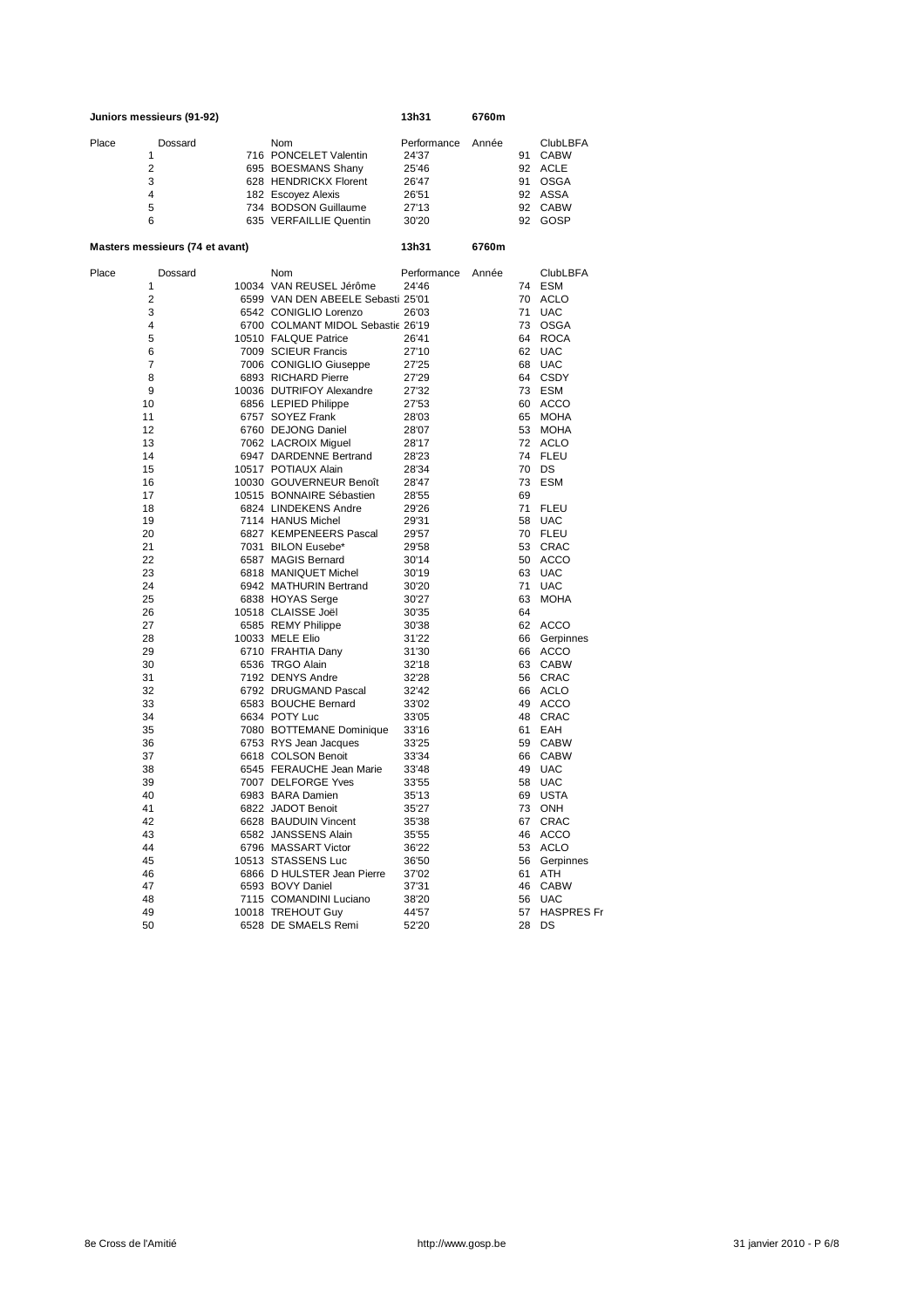|       | Juniors messieurs (91-92) |                        | 13h31       | 6760m |    |          |
|-------|---------------------------|------------------------|-------------|-------|----|----------|
| Place | Dossard                   | <b>Nom</b>             | Performance | Année |    | ClubLBFA |
|       |                           | 716 PONCELET Valentin  | 24'37       |       | 91 | CABW     |
|       | 2                         | 695 BOESMANS Shany     | 25'46       |       |    | 92 ACLE  |
|       | 3                         | 628 HENDRICKX Florent  | 26'47       |       | 91 | OSGA     |
|       | $\overline{4}$            | 182 Escovez Alexis     | 26'51       |       |    | 92 ASSA  |
|       | 5                         | 734 BODSON Guillaume   | 27'13       |       |    | 92 CABW  |
|       | 6                         | 635 VERFAILLIE Quentin | 30'20       |       | 92 | GOSP     |
|       |                           |                        |             |       |    |          |

### **Masters messieurs (74 et avant) 13h31 6760m**

| Place    | Dossard | Nom                                               | Performance    | Année |    | <b>ClubLBFA</b>   |
|----------|---------|---------------------------------------------------|----------------|-------|----|-------------------|
| 1        |         | 10034 VAN REUSEL Jérôme                           | 24'46          |       | 74 | ESM               |
| 2        |         | 6599 VAN DEN ABEELE Sebasti 25'01                 |                |       |    | 70 ACLO           |
| 3        |         | 6542 CONIGLIO Lorenzo                             | 26'03          |       | 71 | <b>UAC</b>        |
| 4        |         | 6700 COLMANT MIDOL Sebastic 26'19                 |                |       |    | 73 OSGA           |
| 5        |         | 10510 FALQUE Patrice                              | 26'41          |       | 64 | <b>ROCA</b>       |
| 6        |         | 7009 SCIEUR Francis                               | 27'10          |       | 62 | <b>UAC</b>        |
| 7        |         | 7006 CONIGLIO Giuseppe                            | 27'25          |       | 68 | <b>UAC</b>        |
| 8        |         | 6893 RICHARD Pierre                               | 27'29          |       |    | 64 CSDY           |
| 9        |         | 10036 DUTRIFOY Alexandre                          | 27'32          |       |    | 73 ESM            |
| 10       |         | 6856 LEPIED Philippe                              | 27'53          |       | 60 | ACCO              |
| 11       |         | 6757 SOYEZ Frank                                  | 28'03          |       | 65 | <b>MOHA</b>       |
| 12       |         | 6760 DEJONG Daniel                                | 28'07          |       |    | 53 MOHA           |
| 13       |         | 7062 LACROIX Miguel                               | 28'17          |       |    | 72 ACLO           |
| 14       |         | 6947 DARDENNE Bertrand                            | 28'23          |       |    | 74 FLEU           |
| 15       |         | 10517 POTIAUX Alain                               | 28'34          |       | 70 | DS                |
| 16       |         | 10030 GOUVERNEUR Benoît                           | 28'47          |       | 73 | ESM               |
| 17       |         | 10515 BONNAIRE Sébastien                          | 28'55          |       | 69 |                   |
| 18       |         | 6824 LINDEKENS Andre                              | 29'26          |       | 71 | <b>FLEU</b>       |
| 19       |         | 7114 HANUS Michel                                 | 29'31          |       | 58 | <b>UAC</b>        |
| 20       |         | 6827 KEMPENEERS Pascal                            | 29'57          |       |    | 70 FLEU           |
| 21       |         | 7031 BILON Eusebe*                                | 29'58          |       |    | 53 CRAC           |
| 22       |         | 6587 MAGIS Bernard                                | 30'14          |       | 50 | ACCO              |
| 23       |         | 6818 MANIQUET Michel                              | 30'19          |       | 63 | <b>UAC</b>        |
| 24       |         | 6942 MATHURIN Bertrand                            | 30'20          |       | 71 | <b>UAC</b>        |
| 25       |         | 6838 HOYAS Serge                                  | 30'27          |       | 63 | <b>MOHA</b>       |
| 26       |         | 10518 CLAISSE Joël                                | 30'35          |       | 64 |                   |
| 27       |         | 6585 REMY Philippe                                | 30'38          |       |    | 62 ACCO           |
| 28       |         | 10033 MELE Elio                                   | 31'22          |       | 66 | Gerpinnes         |
| 29       |         | 6710 FRAHTIA Dany                                 | 31'30          |       |    | 66 ACCO           |
| 30       |         | 6536 TRGO Alain                                   | 32'18          |       | 63 | <b>CABW</b>       |
| 31       |         | 7192 DENYS Andre                                  | 32'28          |       |    | 56 CRAC           |
| 32       |         | 6792 DRUGMAND Pascal                              | 32'42          |       |    | 66 ACLO           |
| 33       |         | 6583 BOUCHE Bernard<br>6634 POTY Luc              | 33'02          |       | 49 | ACCO<br>48 CRAC   |
| 34       |         |                                                   | 33'05          |       |    |                   |
| 35<br>36 |         | 7080 BOTTEMANE Dominique<br>6753 RYS Jean Jacques | 33'16<br>33'25 |       | 61 | EAH<br>59 CABW    |
|          |         | 6618 COLSON Benoit                                | 33'34          |       |    |                   |
| 37<br>38 |         | 6545 FERAUCHE Jean Marie                          | 33'48          |       |    | 66 CABW<br>49 UAC |
| 39       |         | 7007 DELFORGE Yves                                |                |       | 58 | <b>UAC</b>        |
| 40       |         | 6983 BARA Damien                                  | 33'55<br>35'13 |       | 69 | USTA              |
| 41       |         | 6822 JADOT Benoit                                 | 35'27          |       |    | 73 ONH            |
| 42       |         | 6628 BAUDUIN Vincent                              | 35'38          |       | 67 | <b>CRAC</b>       |
| 43       |         | 6582 JANSSENS Alain                               | 35'55          |       |    | 46 ACCO           |
| 44       |         | 6796 MASSART Victor                               | 36'22          |       |    | 53 ACLO           |
| 45       |         | 10513 STASSENS Luc                                | 36'50          |       | 56 | Gerpinnes         |
| 46       |         | 6866 D HULSTER Jean Pierre                        | 37'02          |       | 61 | ATH               |
| 47       |         | 6593 BOVY Daniel                                  | 37'31          |       | 46 | <b>CABW</b>       |
| 48       |         | 7115 COMANDINI Luciano                            | 38'20          |       | 56 | <b>UAC</b>        |
| 49       |         | 10018 TREHOUT Guy                                 | 44'57          |       | 57 | <b>HASPRES Fr</b> |
| 50       |         | 6528 DE SMAELS Remi                               | 52'20          |       | 28 | DS                |
|          |         |                                                   |                |       |    |                   |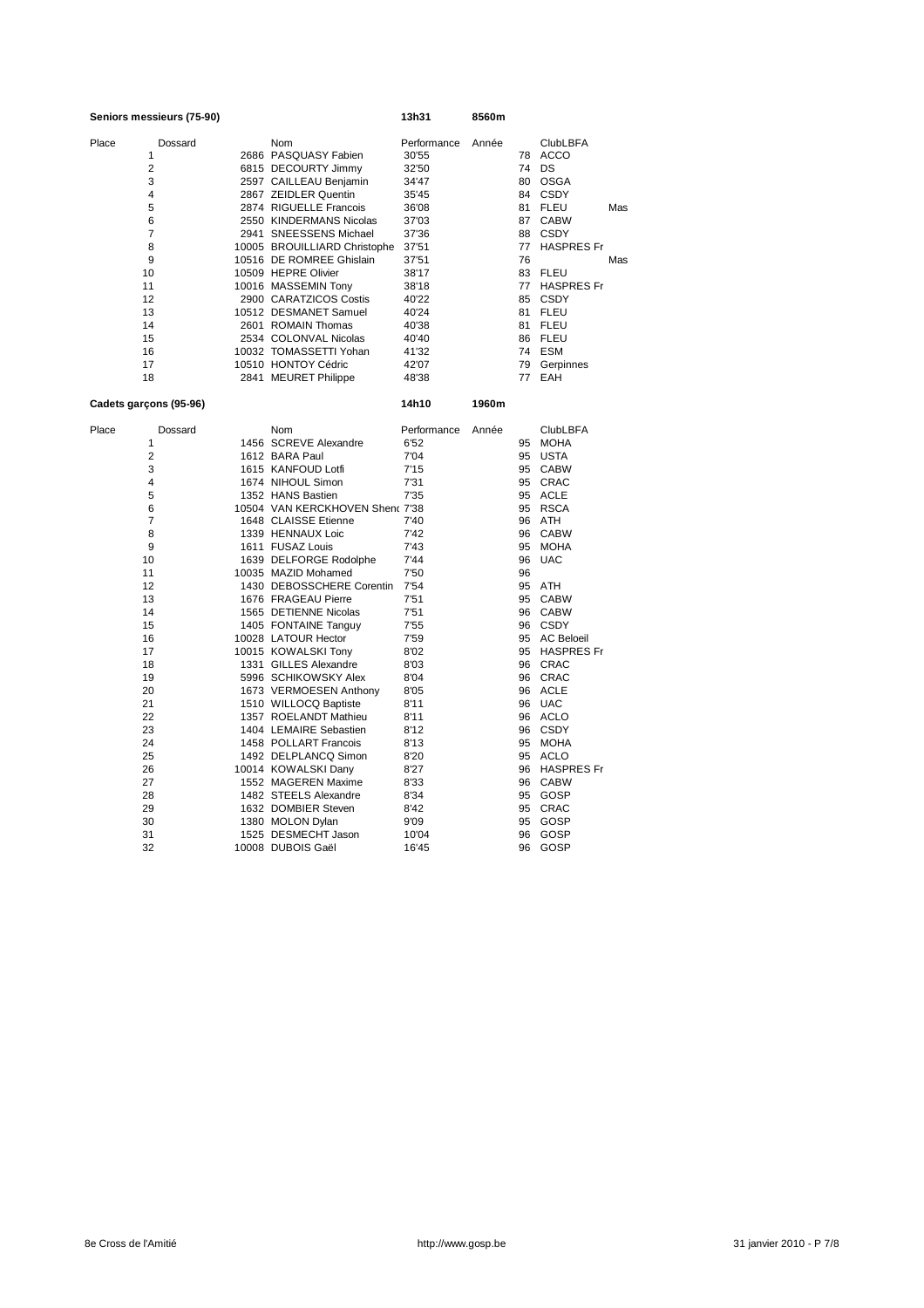| Seniors messieurs (75-90) |         |                                                 | 13h31        | 8560m |    |                    |     |
|---------------------------|---------|-------------------------------------------------|--------------|-------|----|--------------------|-----|
| Place                     | Dossard | Nom                                             | Performance  | Année |    | <b>ClubLBFA</b>    |     |
| 1                         |         | 2686 PASQUASY Fabien                            | 30'55        |       | 78 | ACCO               |     |
| $\overline{2}$            |         | 6815 DECOURTY Jimmy                             | 32'50        |       | 74 | DS                 |     |
| 3                         |         | 2597 CAILLEAU Benjamin                          | 34'47        |       | 80 | <b>OSGA</b>        |     |
| 4                         |         | 2867 ZEIDLER Quentin                            | 35'45        |       |    | 84 CSDY            |     |
| 5                         |         | 2874 RIGUELLE Francois                          | 36'08        |       |    | 81 FLEU            | Mas |
| 6                         |         | 2550 KINDERMANS Nicolas                         | 37'03        |       | 87 | <b>CABW</b>        |     |
| 7                         |         | 2941 SNEESSENS Michael                          | 37'36        |       |    | 88 CSDY            |     |
| 8                         |         | 10005 BROUILLIARD Christophe                    | 37'51        |       | 77 | <b>HASPRES Fr</b>  |     |
| 9                         |         | 10516 DE ROMREE Ghislain                        | 37'51        |       | 76 |                    | Mas |
| 10                        |         | 10509 HEPRE Olivier                             | 38'17        |       | 83 | FLEU               |     |
| 11                        |         | 10016 MASSEMIN Tony                             | 38'18        |       | 77 | <b>HASPRES Fr</b>  |     |
| 12                        |         | 2900 CARATZICOS Costis                          | 40'22        |       |    | 85 CSDY            |     |
| 13                        |         | 10512 DESMANET Samuel                           | 40'24        |       | 81 | FLEU               |     |
| 14                        |         | 2601 ROMAIN Thomas                              | 40'38        |       |    | 81 FLEU            |     |
| 15                        |         | 2534 COLONVAL Nicolas                           | 40'40        |       |    | 86 FLEU            |     |
| 16                        |         | 10032 TOMASSETTI Yohan                          | 41'32        |       |    | 74 ESM             |     |
| 17                        |         | 10510 HONTOY Cédric                             | 42'07        |       | 79 | Gerpinnes          |     |
| 18                        |         | 2841 MEURET Philippe                            | 48'38        |       | 77 | EAH                |     |
| Cadets garçons (95-96)    |         |                                                 | 14h10        | 1960m |    |                    |     |
| Place                     | Dossard | Nom                                             | Performance  | Année |    | <b>ClubLBFA</b>    |     |
| 1                         |         | 1456 SCREVE Alexandre                           | 6'52         |       |    | 95 MOHA            |     |
| $\overline{2}$            |         | 1612 BARA Paul                                  | 7'04         |       |    | 95 USTA            |     |
| 3                         |         | 1615 KANFOUD Lotfi                              | 7'15         |       |    | 95 CABW            |     |
| 4                         |         | 1674 NIHOUL Simon                               | 7'31         |       |    | 95 CRAC            |     |
| 5                         |         | 1352 HANS Bastien                               | 7'35         |       |    | 95 ACLE            |     |
| 6                         |         | 10504 VAN KERCKHOVEN Shen( 7'38                 |              |       |    | 95 RSCA            |     |
| $\overline{7}$            |         | 1648 CLAISSE Etienne                            | 7'40         |       |    | 96 ATH             |     |
| 8                         |         | 1339 HENNAUX Loic                               | 7'42         |       | 96 | <b>CABW</b>        |     |
| 9                         |         | 1611 FUSAZ Louis                                | 7'43         |       | 95 | <b>MOHA</b>        |     |
| 10                        |         | 1639 DELFORGE Rodolphe                          | 7'44         |       | 96 | <b>UAC</b>         |     |
| 11                        |         | 10035 MAZID Mohamed                             | 7'50         |       | 96 |                    |     |
| 12                        |         | 1430 DEBOSSCHERE Corentin                       | 7'54         |       |    | 95 ATH             |     |
| 13                        |         | 1676 FRAGEAU Pierre                             | 7'51         |       |    | 95 CABW            |     |
| 14                        |         | 1565 DETIENNE Nicolas                           | 7'51         |       |    | 96 CABW            |     |
| 15                        |         | 1405 FONTAINE Tanguy                            | 7'55         |       |    | 96 CSDY            |     |
| 16                        |         | 10028 LATOUR Hector                             | 7'59         |       |    | 95 AC Beloeil      |     |
| 17                        |         | 10015 KOWALSKI Tony                             | 8'02         |       |    | 95 HASPRES Fr      |     |
| 18                        |         | 1331 GILLES Alexandre                           | 8'03         |       |    | 96 CRAC            |     |
| 19                        |         | 5996 SCHIKOWSKY Alex                            | 8'04         |       |    | 96 CRAC            |     |
| 20<br>21                  |         | 1673 VERMOESEN Anthony                          | 8'05         |       |    | 96 ACLE<br>96 UAC  |     |
| 22                        |         | 1510 WILLOCQ Baptiste                           | 8'11<br>8'11 |       |    |                    |     |
| 23                        |         | 1357 ROELANDT Mathieu<br>1404 LEMAIRE Sebastien |              |       |    | 96 ACLO<br>96 CSDY |     |
| 24                        |         |                                                 | 8'12         |       |    | 95 MOHA            |     |
| 25                        |         | 1458 POLLART Francois<br>1492 DELPLANCQ Simon   | 8'13<br>8'20 |       |    | 95 ACLO            |     |
| 26                        |         | 10014 KOWALSKI Dany                             | 8'27         |       |    | 96 HASPRES Fr      |     |
| 27                        |         | 1552 MAGEREN Maxime                             | 8'33         |       |    | 96 CABW            |     |
| 28                        |         | 1482 STEELS Alexandre                           | 8'34         |       |    | 95 GOSP            |     |
| 29                        |         | 1632 DOMBIER Steven                             | 8'42         |       |    | 95 CRAC            |     |
| 30                        |         | 1380 MOLON Dylan                                | 9'09         |       | 95 | GOSP               |     |
| 31                        |         | 1525 DESMECHT Jason                             | 10'04        |       | 96 | GOSP               |     |
| 32                        |         | 10008 DUBOIS Gaël                               | 16'45        |       | 96 | GOSP               |     |